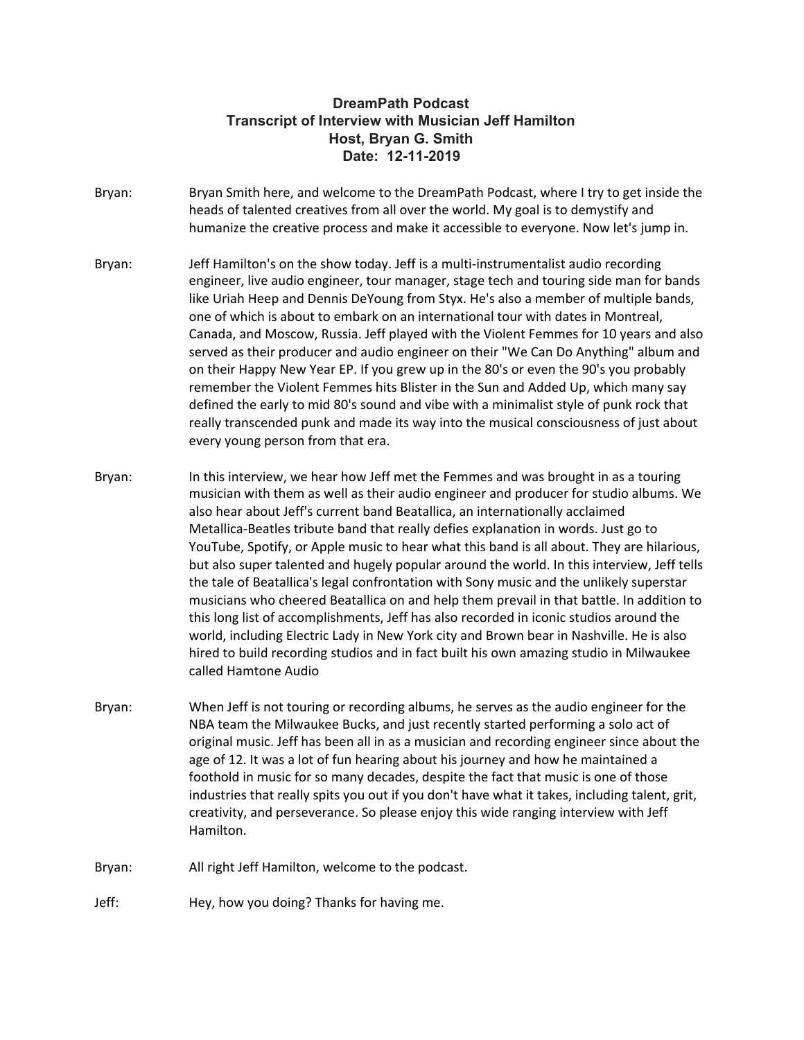# **DreamPath Podcast Transcript of Interview with Musician Jeff Hamilton Host, Bryan G. Smith Date: 12-11-2019**

- Bryan: Bryan Smith here, and welcome to the DreamPath Podcast, where I try to get inside the heads of talented creatives from all over the world. My goal is to demystify and humanize the creative process and make it accessible to everyone. Now let's jump in.
- Bryan: Jeff Hamilton's on the show today. Jeff is a multi-instrumentalist audio recording engineer, live audio engineer, tour manager, stage tech and touring side man for bands like Uriah Heep and Dennis DeYoung from Styx. He's also a member of multiple bands, one of which is about to embark on an international tour with dates in Montreal, Canada, and Moscow, Russia. Jeff played with the Violent Femmes for 10 years and also served as their producer and audio engineer on their "We Can Do Anything" album and on their Happy New Year EP. If you grew up in the 80's or even the 90's you probably remember the Violent Femmes hits Blister in the Sun and Added Up, which many say defined the early to mid 80's sound and vibe with a minimalist style of punk rock that really transcended punk and made its way into the musical consciousness of just about every young person from that era.
- Bryan: In this interview, we hear how Jeff met the Femmes and was brought in as a touring musician with them as well as their audio engineer and producer for studio albums. We also hear about Jeff's current band Beatallica, an internationally acclaimed Metallica-Beatles tribute band that really defies explanation in words. Just go to YouTube, Spotify, or Apple music to hear what this band is all about. They are hilarious, but also super talented and hugely popular around the world. In this interview, Jeff tells the tale of Beatallica's legal confrontation with Sony music and the unlikely superstar musicians who cheered Beatallica on and help them prevail in that battle. In addition to this long list of accomplishments, Jeff has also recorded in iconic studios around the world, including Electric Lady in New York city and Brown bear in Nashville. He is also hired to build recording studios and in fact built his own amazing studio in Milwaukee called Hamtone Audio
- Bryan: When Jeff is not touring or recording albums, he serves as the audio engineer for the NBA team the Milwaukee Bucks, and just recently started performing a solo act of original music. Jeff has been all in as a musician and recording engineer since about the age of 12. It was a lot of fun hearing about his journey and how he maintained a foothold in music for so many decades, despite the fact that music is one of those industries that really spits you out if you don't have what it takes, including talent, grit, creativity, and perseverance. So please enjoy this wide ranging interview with Jeff Hamilton.
- Bryan: All right Jeff Hamilton, welcome to the podcast.

Jeff: Hey, how you doing? Thanks for having me.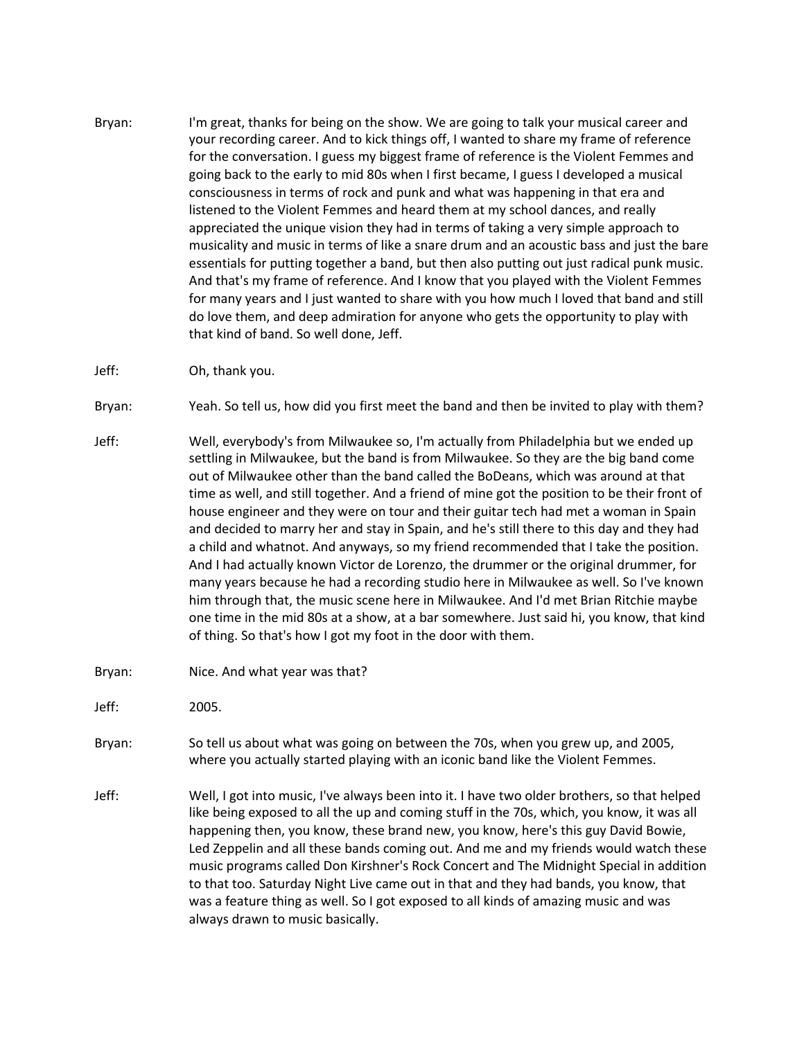- Bryan: I'm great, thanks for being on the show. We are going to talk your musical career and your recording career. And to kick things off, I wanted to share my frame of reference for the conversation. I guess my biggest frame of reference is the Violent Femmes and going back to the early to mid 80s when I first became, I guess I developed a musical consciousness in terms of rock and punk and what was happening in that era and listened to the Violent Femmes and heard them at my school dances, and really appreciated the unique vision they had in terms of taking a very simple approach to musicality and music in terms of like a snare drum and an acoustic bass and just the bare essentials for putting together a band, but then also putting out just radical punk music. And that's my frame of reference. And I know that you played with the Violent Femmes for many years and I just wanted to share with you how much I loved that band and still do love them, and deep admiration for anyone who gets the opportunity to play with that kind of band. So well done, Jeff.
- Jeff: Oh, thank you.

Bryan: Yeah. So tell us, how did you first meet the band and then be invited to play with them?

- Jeff: Well, everybody's from Milwaukee so, I'm actually from Philadelphia but we ended up settling in Milwaukee, but the band is from Milwaukee. So they are the big band come out of Milwaukee other than the band called the BoDeans, which was around at that time as well, and still together. And a friend of mine got the position to be their front of house engineer and they were on tour and their guitar tech had met a woman in Spain and decided to marry her and stay in Spain, and he's still there to this day and they had a child and whatnot. And anyways, so my friend recommended that I take the position. And I had actually known Victor de Lorenzo, the drummer or the original drummer, for many years because he had a recording studio here in Milwaukee as well. So I've known him through that, the music scene here in Milwaukee. And I'd met Brian Ritchie maybe one time in the mid 80s at a show, at a bar somewhere. Just said hi, you know, that kind of thing. So that's how I got my foot in the door with them.
- Bryan: Nice. And what year was that?

Jeff: 2005.

- Bryan: So tell us about what was going on between the 70s, when you grew up, and 2005, where you actually started playing with an iconic band like the Violent Femmes.
- Jeff: Well, I got into music, I've always been into it. I have two older brothers, so that helped like being exposed to all the up and coming stuff in the 70s, which, you know, it was all happening then, you know, these brand new, you know, here's this guy David Bowie, Led Zeppelin and all these bands coming out. And me and my friends would watch these music programs called Don Kirshner's Rock Concert and The Midnight Special in addition to that too. Saturday Night Live came out in that and they had bands, you know, that was a feature thing as well. So I got exposed to all kinds of amazing music and was always drawn to music basically.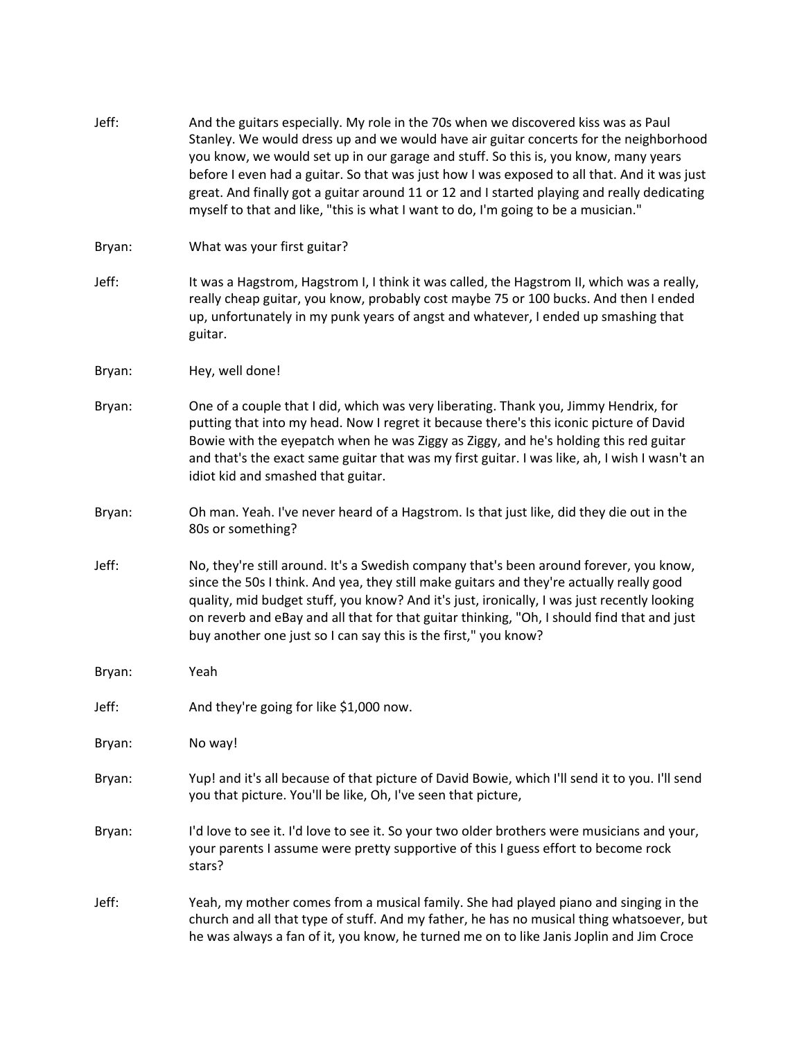| Jeff:  | And the guitars especially. My role in the 70s when we discovered kiss was as Paul<br>Stanley. We would dress up and we would have air guitar concerts for the neighborhood<br>you know, we would set up in our garage and stuff. So this is, you know, many years<br>before I even had a guitar. So that was just how I was exposed to all that. And it was just<br>great. And finally got a guitar around 11 or 12 and I started playing and really dedicating<br>myself to that and like, "this is what I want to do, I'm going to be a musician." |
|--------|-------------------------------------------------------------------------------------------------------------------------------------------------------------------------------------------------------------------------------------------------------------------------------------------------------------------------------------------------------------------------------------------------------------------------------------------------------------------------------------------------------------------------------------------------------|
| Bryan: | What was your first guitar?                                                                                                                                                                                                                                                                                                                                                                                                                                                                                                                           |
| Jeff:  | It was a Hagstrom, Hagstrom I, I think it was called, the Hagstrom II, which was a really,<br>really cheap guitar, you know, probably cost maybe 75 or 100 bucks. And then I ended<br>up, unfortunately in my punk years of angst and whatever, I ended up smashing that<br>guitar.                                                                                                                                                                                                                                                                   |
| Bryan: | Hey, well done!                                                                                                                                                                                                                                                                                                                                                                                                                                                                                                                                       |
| Bryan: | One of a couple that I did, which was very liberating. Thank you, Jimmy Hendrix, for<br>putting that into my head. Now I regret it because there's this iconic picture of David<br>Bowie with the eyepatch when he was Ziggy as Ziggy, and he's holding this red guitar<br>and that's the exact same guitar that was my first guitar. I was like, ah, I wish I wasn't an<br>idiot kid and smashed that guitar.                                                                                                                                        |
| Bryan: | Oh man. Yeah. I've never heard of a Hagstrom. Is that just like, did they die out in the<br>80s or something?                                                                                                                                                                                                                                                                                                                                                                                                                                         |
| Jeff:  | No, they're still around. It's a Swedish company that's been around forever, you know,<br>since the 50s I think. And yea, they still make guitars and they're actually really good<br>quality, mid budget stuff, you know? And it's just, ironically, I was just recently looking<br>on reverb and eBay and all that for that guitar thinking, "Oh, I should find that and just<br>buy another one just so I can say this is the first," you know?                                                                                                    |
| Bryan: | Yeah                                                                                                                                                                                                                                                                                                                                                                                                                                                                                                                                                  |
| Jeff:  | And they're going for like \$1,000 now.                                                                                                                                                                                                                                                                                                                                                                                                                                                                                                               |
| Bryan: | No way!                                                                                                                                                                                                                                                                                                                                                                                                                                                                                                                                               |
| Bryan: | Yup! and it's all because of that picture of David Bowie, which I'll send it to you. I'll send<br>you that picture. You'll be like, Oh, I've seen that picture,                                                                                                                                                                                                                                                                                                                                                                                       |
| Bryan: | I'd love to see it. I'd love to see it. So your two older brothers were musicians and your,<br>your parents I assume were pretty supportive of this I guess effort to become rock<br>stars?                                                                                                                                                                                                                                                                                                                                                           |
| Jeff:  | Yeah, my mother comes from a musical family. She had played piano and singing in the<br>church and all that type of stuff. And my father, he has no musical thing whatsoever, but<br>he was always a fan of it, you know, he turned me on to like Janis Joplin and Jim Croce                                                                                                                                                                                                                                                                          |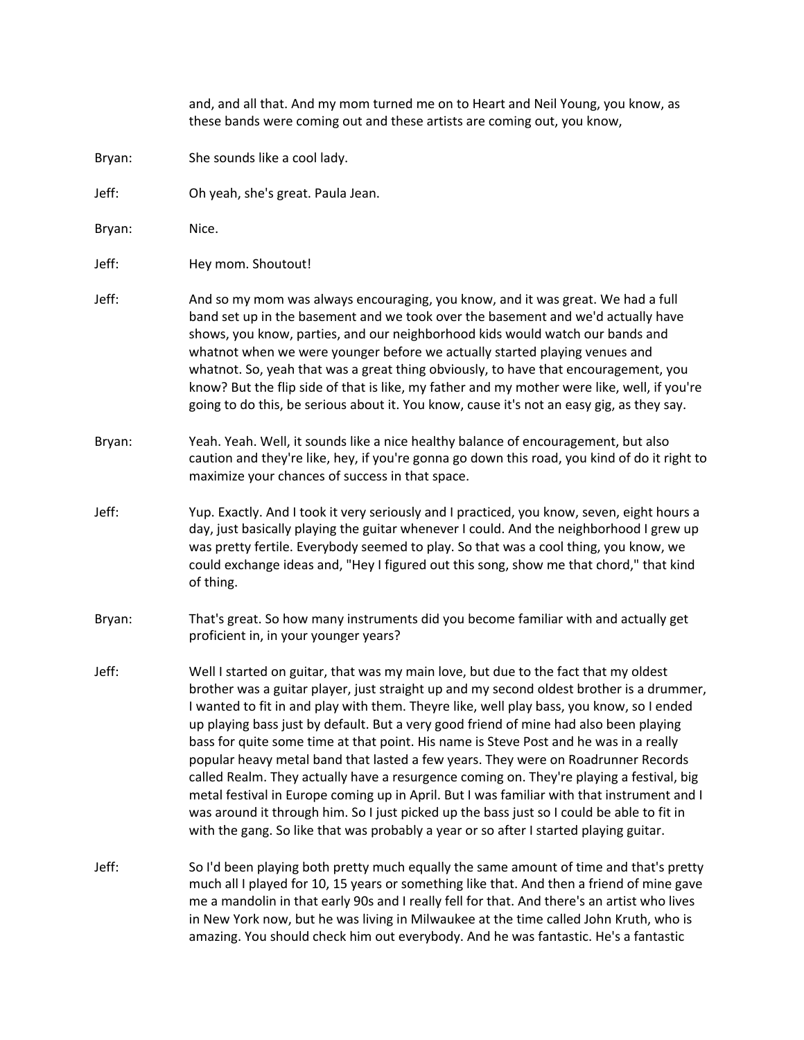|        | and, and all that. And my mom turned me on to Heart and Neil Young, you know, as<br>these bands were coming out and these artists are coming out, you know,                                                                                                                                                                                                                                                                                                                                                                                                                                                                                                                                                                                                                                                                                                                                                                        |
|--------|------------------------------------------------------------------------------------------------------------------------------------------------------------------------------------------------------------------------------------------------------------------------------------------------------------------------------------------------------------------------------------------------------------------------------------------------------------------------------------------------------------------------------------------------------------------------------------------------------------------------------------------------------------------------------------------------------------------------------------------------------------------------------------------------------------------------------------------------------------------------------------------------------------------------------------|
| Bryan: | She sounds like a cool lady.                                                                                                                                                                                                                                                                                                                                                                                                                                                                                                                                                                                                                                                                                                                                                                                                                                                                                                       |
| Jeff:  | Oh yeah, she's great. Paula Jean.                                                                                                                                                                                                                                                                                                                                                                                                                                                                                                                                                                                                                                                                                                                                                                                                                                                                                                  |
| Bryan: | Nice.                                                                                                                                                                                                                                                                                                                                                                                                                                                                                                                                                                                                                                                                                                                                                                                                                                                                                                                              |
| Jeff:  | Hey mom. Shoutout!                                                                                                                                                                                                                                                                                                                                                                                                                                                                                                                                                                                                                                                                                                                                                                                                                                                                                                                 |
| Jeff:  | And so my mom was always encouraging, you know, and it was great. We had a full<br>band set up in the basement and we took over the basement and we'd actually have<br>shows, you know, parties, and our neighborhood kids would watch our bands and<br>whatnot when we were younger before we actually started playing venues and<br>whatnot. So, yeah that was a great thing obviously, to have that encouragement, you<br>know? But the flip side of that is like, my father and my mother were like, well, if you're<br>going to do this, be serious about it. You know, cause it's not an easy gig, as they say.                                                                                                                                                                                                                                                                                                              |
| Bryan: | Yeah. Yeah. Well, it sounds like a nice healthy balance of encouragement, but also<br>caution and they're like, hey, if you're gonna go down this road, you kind of do it right to<br>maximize your chances of success in that space.                                                                                                                                                                                                                                                                                                                                                                                                                                                                                                                                                                                                                                                                                              |
| Jeff:  | Yup. Exactly. And I took it very seriously and I practiced, you know, seven, eight hours a<br>day, just basically playing the guitar whenever I could. And the neighborhood I grew up<br>was pretty fertile. Everybody seemed to play. So that was a cool thing, you know, we<br>could exchange ideas and, "Hey I figured out this song, show me that chord," that kind<br>of thing.                                                                                                                                                                                                                                                                                                                                                                                                                                                                                                                                               |
| Bryan: | That's great. So how many instruments did you become familiar with and actually get<br>proficient in, in your younger years?                                                                                                                                                                                                                                                                                                                                                                                                                                                                                                                                                                                                                                                                                                                                                                                                       |
| Jeff:  | Well I started on guitar, that was my main love, but due to the fact that my oldest<br>brother was a guitar player, just straight up and my second oldest brother is a drummer,<br>I wanted to fit in and play with them. Theyre like, well play bass, you know, so I ended<br>up playing bass just by default. But a very good friend of mine had also been playing<br>bass for quite some time at that point. His name is Steve Post and he was in a really<br>popular heavy metal band that lasted a few years. They were on Roadrunner Records<br>called Realm. They actually have a resurgence coming on. They're playing a festival, big<br>metal festival in Europe coming up in April. But I was familiar with that instrument and I<br>was around it through him. So I just picked up the bass just so I could be able to fit in<br>with the gang. So like that was probably a year or so after I started playing guitar. |
| Jeff:  | So I'd been playing both pretty much equally the same amount of time and that's pretty<br>much all I played for 10, 15 years or something like that. And then a friend of mine gave<br>me a mandolin in that early 90s and I really fell for that. And there's an artist who lives<br>in New York now, but he was living in Milwaukee at the time called John Kruth, who is<br>amazing. You should check him out everybody. And he was fantastic. He's a fantastic                                                                                                                                                                                                                                                                                                                                                                                                                                                                 |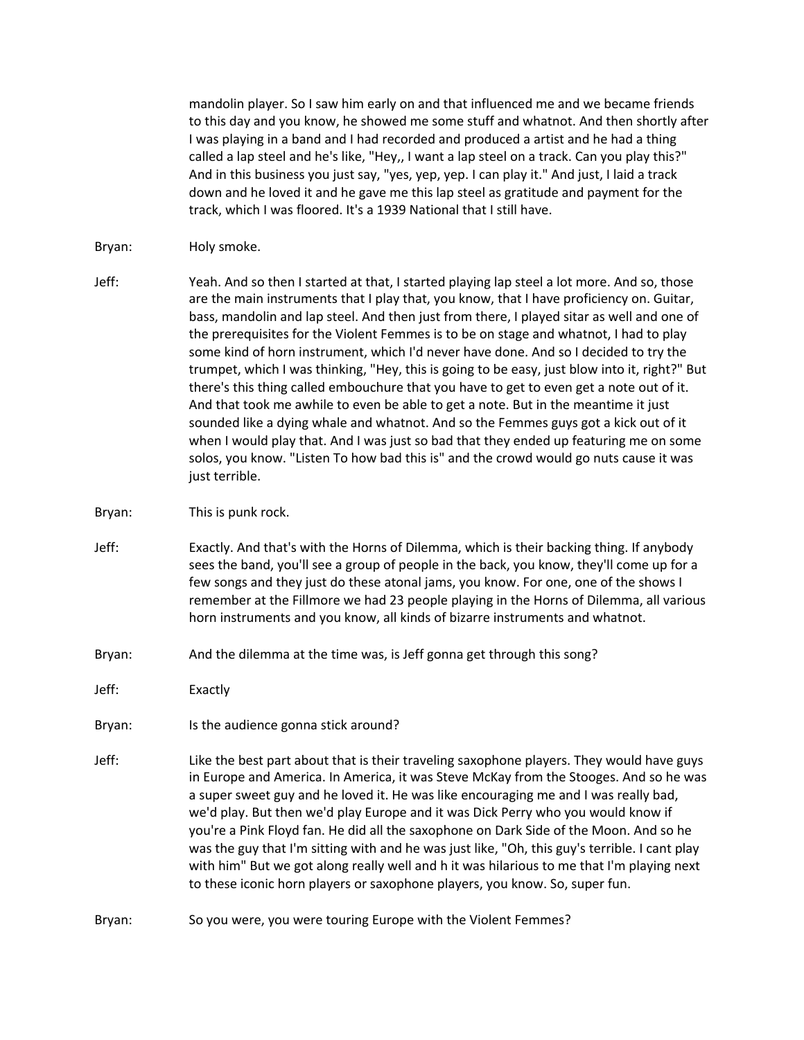mandolin player. So I saw him early on and that influenced me and we became friends to this day and you know, he showed me some stuff and whatnot. And then shortly after I was playing in a band and I had recorded and produced a artist and he had a thing called a lap steel and he's like, "Hey,, I want a lap steel on a track. Can you play this?" And in this business you just say, "yes, yep, yep. I can play it." And just, I laid a track down and he loved it and he gave me this lap steel as gratitude and payment for the track, which I was floored. It's a 1939 National that I still have.

- Bryan: Holy smoke.
- Jeff: Yeah. And so then I started at that, I started playing lap steel a lot more. And so, those are the main instruments that I play that, you know, that I have proficiency on. Guitar, bass, mandolin and lap steel. And then just from there, I played sitar as well and one of the prerequisites for the Violent Femmes is to be on stage and whatnot, I had to play some kind of horn instrument, which I'd never have done. And so I decided to try the trumpet, which I was thinking, "Hey, this is going to be easy, just blow into it, right?" But there's this thing called embouchure that you have to get to even get a note out of it. And that took me awhile to even be able to get a note. But in the meantime it just sounded like a dying whale and whatnot. And so the Femmes guys got a kick out of it when I would play that. And I was just so bad that they ended up featuring me on some solos, you know. "Listen To how bad this is" and the crowd would go nuts cause it was just terrible.
- Bryan: This is punk rock.
- Jeff: Exactly. And that's with the Horns of Dilemma, which is their backing thing. If anybody sees the band, you'll see a group of people in the back, you know, they'll come up for a few songs and they just do these atonal jams, you know. For one, one of the shows I remember at the Fillmore we had 23 people playing in the Horns of Dilemma, all various horn instruments and you know, all kinds of bizarre instruments and whatnot.
- Bryan: And the dilemma at the time was, is Jeff gonna get through this song?

Jeff: Exactly

- Bryan: Is the audience gonna stick around?
- Jeff: Like the best part about that is their traveling saxophone players. They would have guys in Europe and America. In America, it was Steve McKay from the Stooges. And so he was a super sweet guy and he loved it. He was like encouraging me and I was really bad, we'd play. But then we'd play Europe and it was Dick Perry who you would know if you're a Pink Floyd fan. He did all the saxophone on Dark Side of the Moon. And so he was the guy that I'm sitting with and he was just like, "Oh, this guy's terrible. I cant play with him" But we got along really well and h it was hilarious to me that I'm playing next to these iconic horn players or saxophone players, you know. So, super fun.
- Bryan: So you were, you were touring Europe with the Violent Femmes?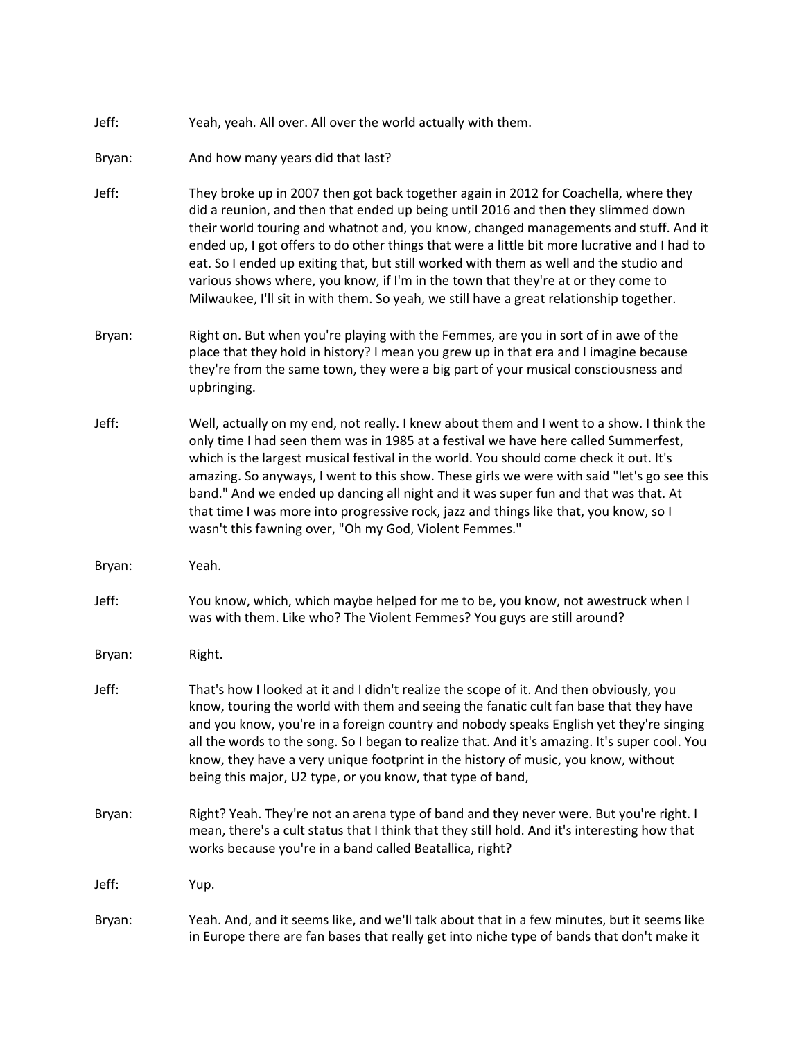| Jeff: | Yeah, yeah. All over. All over the world actually with them. |
|-------|--------------------------------------------------------------|
|       |                                                              |

- Bryan: And how many years did that last?
- Jeff: They broke up in 2007 then got back together again in 2012 for Coachella, where they did a reunion, and then that ended up being until 2016 and then they slimmed down their world touring and whatnot and, you know, changed managements and stuff. And it ended up, I got offers to do other things that were a little bit more lucrative and I had to eat. So I ended up exiting that, but still worked with them as well and the studio and various shows where, you know, if I'm in the town that they're at or they come to Milwaukee, I'll sit in with them. So yeah, we still have a great relationship together.
- Bryan: Right on. But when you're playing with the Femmes, are you in sort of in awe of the place that they hold in history? I mean you grew up in that era and I imagine because they're from the same town, they were a big part of your musical consciousness and upbringing.
- Jeff: Well, actually on my end, not really. I knew about them and I went to a show. I think the only time I had seen them was in 1985 at a festival we have here called Summerfest, which is the largest musical festival in the world. You should come check it out. It's amazing. So anyways, I went to this show. These girls we were with said "let's go see this band." And we ended up dancing all night and it was super fun and that was that. At that time I was more into progressive rock, jazz and things like that, you know, so I wasn't this fawning over, "Oh my God, Violent Femmes."
- Bryan: Yeah.
- Jeff: You know, which, which maybe helped for me to be, you know, not awestruck when I was with them. Like who? The Violent Femmes? You guys are still around?
- Bryan: Right.
- Jeff: That's how I looked at it and I didn't realize the scope of it. And then obviously, you know, touring the world with them and seeing the fanatic cult fan base that they have and you know, you're in a foreign country and nobody speaks English yet they're singing all the words to the song. So I began to realize that. And it's amazing. It's super cool. You know, they have a very unique footprint in the history of music, you know, without being this major, U2 type, or you know, that type of band,
- Bryan: Right? Yeah. They're not an arena type of band and they never were. But you're right. I mean, there's a cult status that I think that they still hold. And it's interesting how that works because you're in a band called Beatallica, right?

Jeff: Yup.

Bryan: Yeah. And, and it seems like, and we'll talk about that in a few minutes, but it seems like in Europe there are fan bases that really get into niche type of bands that don't make it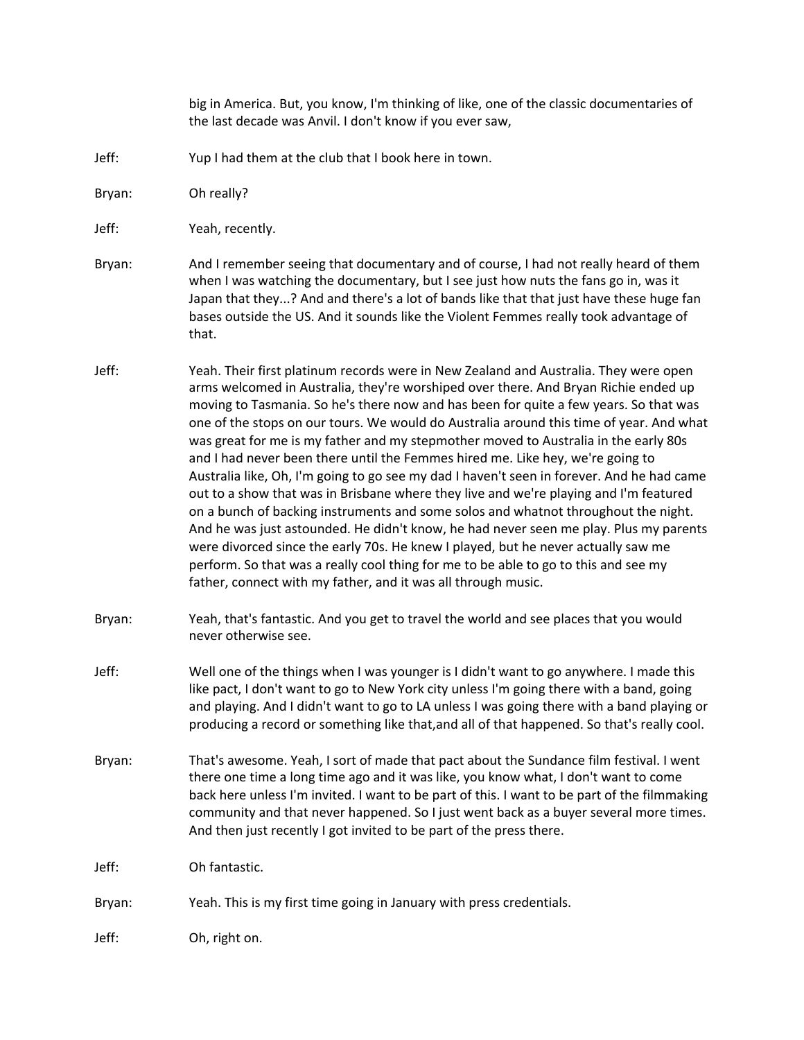big in America. But, you know, I'm thinking of like, one of the classic documentaries of the last decade was Anvil. I don't know if you ever saw,

Jeff: Yup I had them at the club that I book here in town.

Bryan: Oh really?

Jeff: Yeah, recently.

- Bryan: And I remember seeing that documentary and of course, I had not really heard of them when I was watching the documentary, but I see just how nuts the fans go in, was it Japan that they...? And and there's a lot of bands like that that just have these huge fan bases outside the US. And it sounds like the Violent Femmes really took advantage of that.
- Jeff: Yeah. Their first platinum records were in New Zealand and Australia. They were open arms welcomed in Australia, they're worshiped over there. And Bryan Richie ended up moving to Tasmania. So he's there now and has been for quite a few years. So that was one of the stops on our tours. We would do Australia around this time of year. And what was great for me is my father and my stepmother moved to Australia in the early 80s and I had never been there until the Femmes hired me. Like hey, we're going to Australia like, Oh, I'm going to go see my dad I haven't seen in forever. And he had came out to a show that was in Brisbane where they live and we're playing and I'm featured on a bunch of backing instruments and some solos and whatnot throughout the night. And he was just astounded. He didn't know, he had never seen me play. Plus my parents were divorced since the early 70s. He knew I played, but he never actually saw me perform. So that was a really cool thing for me to be able to go to this and see my father, connect with my father, and it was all through music.
- Bryan: Yeah, that's fantastic. And you get to travel the world and see places that you would never otherwise see.
- Jeff: Well one of the things when I was younger is I didn't want to go anywhere. I made this like pact, I don't want to go to New York city unless I'm going there with a band, going and playing. And I didn't want to go to LA unless I was going there with a band playing or producing a record or something like that,and all of that happened. So that's really cool.
- Bryan: That's awesome. Yeah, I sort of made that pact about the Sundance film festival. I went there one time a long time ago and it was like, you know what, I don't want to come back here unless I'm invited. I want to be part of this. I want to be part of the filmmaking community and that never happened. So I just went back as a buyer several more times. And then just recently I got invited to be part of the press there.

Jeff: Oh fantastic.

Bryan: Yeah. This is my first time going in January with press credentials.

Jeff: Oh, right on.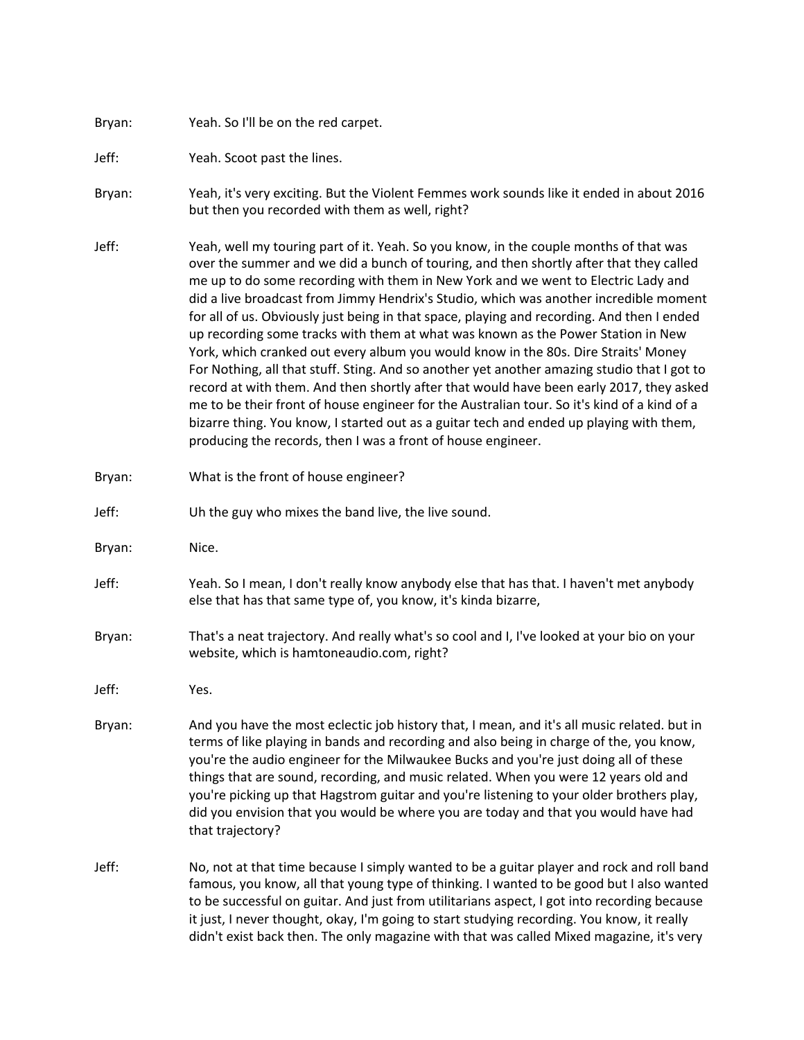## Bryan: Yeah. So I'll be on the red carpet.

Jeff: Yeah. Scoot past the lines.

- Bryan: Yeah, it's very exciting. But the Violent Femmes work sounds like it ended in about 2016 but then you recorded with them as well, right?
- Jeff: Yeah, well my touring part of it. Yeah. So you know, in the couple months of that was over the summer and we did a bunch of touring, and then shortly after that they called me up to do some recording with them in New York and we went to Electric Lady and did a live broadcast from Jimmy Hendrix's Studio, which was another incredible moment for all of us. Obviously just being in that space, playing and recording. And then I ended up recording some tracks with them at what was known as the Power Station in New York, which cranked out every album you would know in the 80s. Dire Straits' Money For Nothing, all that stuff. Sting. And so another yet another amazing studio that I got to record at with them. And then shortly after that would have been early 2017, they asked me to be their front of house engineer for the Australian tour. So it's kind of a kind of a bizarre thing. You know, I started out as a guitar tech and ended up playing with them, producing the records, then I was a front of house engineer.
- Bryan: What is the front of house engineer?
- Jeff: Uh the guy who mixes the band live, the live sound.
- Bryan: Nice.
- Jeff: Yeah. So I mean, I don't really know anybody else that has that. I haven't met anybody else that has that same type of, you know, it's kinda bizarre,
- Bryan: That's a neat trajectory. And really what's so cool and I, I've looked at your bio on your website, which is hamtoneaudio.com, right?
- Jeff: Yes.
- Bryan: And you have the most eclectic job history that, I mean, and it's all music related. but in terms of like playing in bands and recording and also being in charge of the, you know, you're the audio engineer for the Milwaukee Bucks and you're just doing all of these things that are sound, recording, and music related. When you were 12 years old and you're picking up that Hagstrom guitar and you're listening to your older brothers play, did you envision that you would be where you are today and that you would have had that trajectory?
- Jeff: No, not at that time because I simply wanted to be a guitar player and rock and roll band famous, you know, all that young type of thinking. I wanted to be good but I also wanted to be successful on guitar. And just from utilitarians aspect, I got into recording because it just, I never thought, okay, I'm going to start studying recording. You know, it really didn't exist back then. The only magazine with that was called Mixed magazine, it's very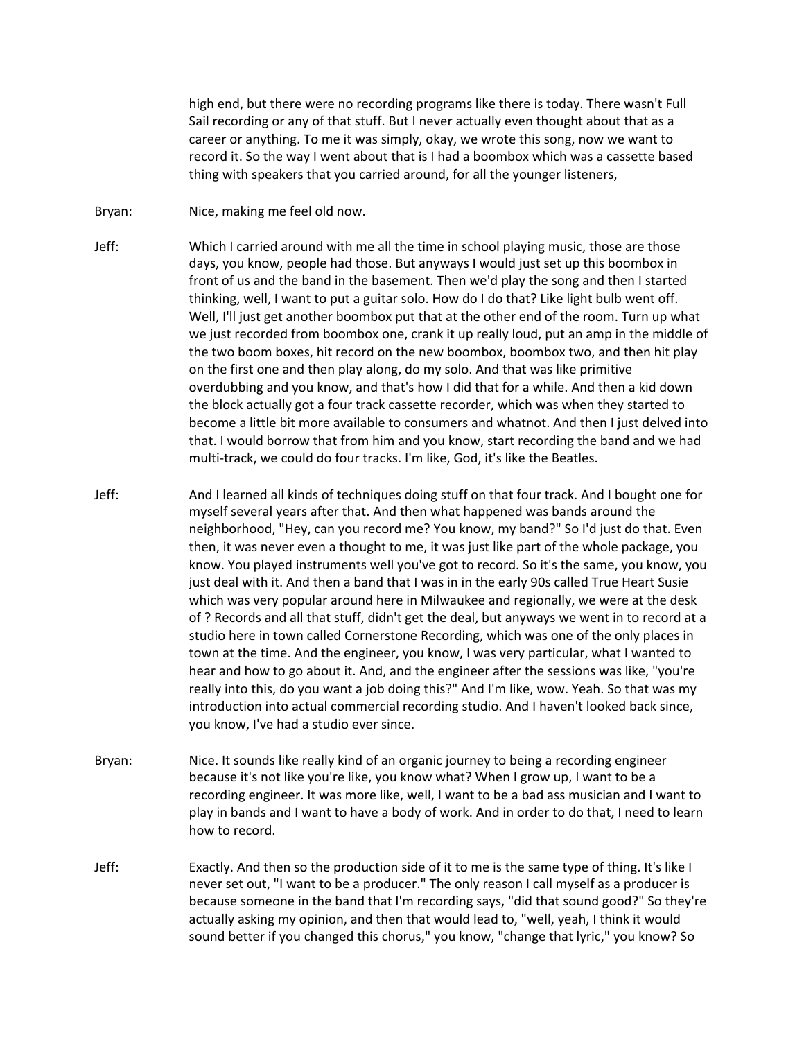high end, but there were no recording programs like there is today. There wasn't Full Sail recording or any of that stuff. But I never actually even thought about that as a career or anything. To me it was simply, okay, we wrote this song, now we want to record it. So the way I went about that is I had a boombox which was a cassette based thing with speakers that you carried around, for all the younger listeners,

- Bryan: Nice, making me feel old now.
- Jeff: Which I carried around with me all the time in school playing music, those are those days, you know, people had those. But anyways I would just set up this boombox in front of us and the band in the basement. Then we'd play the song and then I started thinking, well, I want to put a guitar solo. How do I do that? Like light bulb went off. Well, I'll just get another boombox put that at the other end of the room. Turn up what we just recorded from boombox one, crank it up really loud, put an amp in the middle of the two boom boxes, hit record on the new boombox, boombox two, and then hit play on the first one and then play along, do my solo. And that was like primitive overdubbing and you know, and that's how I did that for a while. And then a kid down the block actually got a four track cassette recorder, which was when they started to become a little bit more available to consumers and whatnot. And then I just delved into that. I would borrow that from him and you know, start recording the band and we had multi-track, we could do four tracks. I'm like, God, it's like the Beatles.
- Jeff: And I learned all kinds of techniques doing stuff on that four track. And I bought one for myself several years after that. And then what happened was bands around the neighborhood, "Hey, can you record me? You know, my band?" So I'd just do that. Even then, it was never even a thought to me, it was just like part of the whole package, you know. You played instruments well you've got to record. So it's the same, you know, you just deal with it. And then a band that I was in in the early 90s called True Heart Susie which was very popular around here in Milwaukee and regionally, we were at the desk of ? Records and all that stuff, didn't get the deal, but anyways we went in to record at a studio here in town called Cornerstone Recording, which was one of the only places in town at the time. And the engineer, you know, I was very particular, what I wanted to hear and how to go about it. And, and the engineer after the sessions was like, "you're really into this, do you want a job doing this?" And I'm like, wow. Yeah. So that was my introduction into actual commercial recording studio. And I haven't looked back since, you know, I've had a studio ever since.
- Bryan: Nice. It sounds like really kind of an organic journey to being a recording engineer because it's not like you're like, you know what? When I grow up, I want to be a recording engineer. It was more like, well, I want to be a bad ass musician and I want to play in bands and I want to have a body of work. And in order to do that, I need to learn how to record.
- Jeff: Exactly. And then so the production side of it to me is the same type of thing. It's like I never set out, "I want to be a producer." The only reason I call myself as a producer is because someone in the band that I'm recording says, "did that sound good?" So they're actually asking my opinion, and then that would lead to, "well, yeah, I think it would sound better if you changed this chorus," you know, "change that lyric," you know? So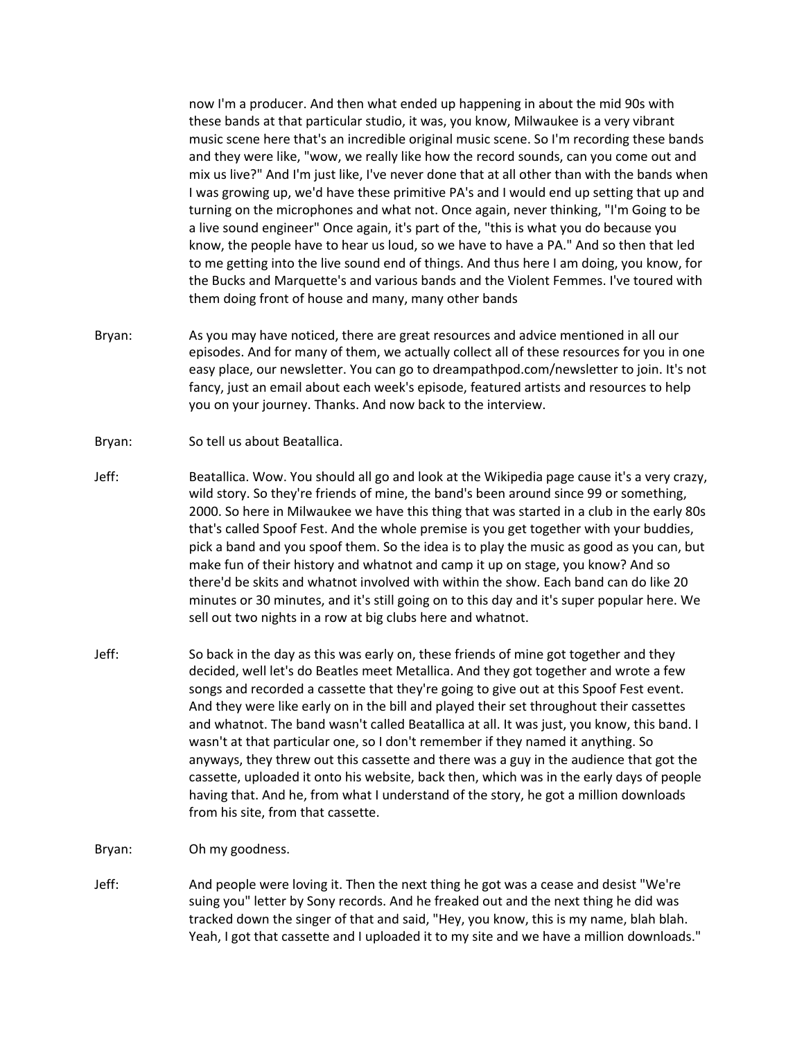now I'm a producer. And then what ended up happening in about the mid 90s with these bands at that particular studio, it was, you know, Milwaukee is a very vibrant music scene here that's an incredible original music scene. So I'm recording these bands and they were like, "wow, we really like how the record sounds, can you come out and mix us live?" And I'm just like, I've never done that at all other than with the bands when I was growing up, we'd have these primitive PA's and I would end up setting that up and turning on the microphones and what not. Once again, never thinking, "I'm Going to be a live sound engineer" Once again, it's part of the, "this is what you do because you know, the people have to hear us loud, so we have to have a PA." And so then that led to me getting into the live sound end of things. And thus here I am doing, you know, for the Bucks and Marquette's and various bands and the Violent Femmes. I've toured with them doing front of house and many, many other bands

Bryan: As you may have noticed, there are great resources and advice mentioned in all our episodes. And for many of them, we actually collect all of these resources for you in one easy place, our newsletter. You can go to dreampathpod.com/newsletter to join. It's not fancy, just an email about each week's episode, featured artists and resources to help you on your journey. Thanks. And now back to the interview.

- Jeff: Beatallica. Wow. You should all go and look at the Wikipedia page cause it's a very crazy, wild story. So they're friends of mine, the band's been around since 99 or something, 2000. So here in Milwaukee we have this thing that was started in a club in the early 80s that's called Spoof Fest. And the whole premise is you get together with your buddies, pick a band and you spoof them. So the idea is to play the music as good as you can, but make fun of their history and whatnot and camp it up on stage, you know? And so there'd be skits and whatnot involved with within the show. Each band can do like 20 minutes or 30 minutes, and it's still going on to this day and it's super popular here. We sell out two nights in a row at big clubs here and whatnot.
- Jeff: So back in the day as this was early on, these friends of mine got together and they decided, well let's do Beatles meet Metallica. And they got together and wrote a few songs and recorded a cassette that they're going to give out at this Spoof Fest event. And they were like early on in the bill and played their set throughout their cassettes and whatnot. The band wasn't called Beatallica at all. It was just, you know, this band. I wasn't at that particular one, so I don't remember if they named it anything. So anyways, they threw out this cassette and there was a guy in the audience that got the cassette, uploaded it onto his website, back then, which was in the early days of people having that. And he, from what I understand of the story, he got a million downloads from his site, from that cassette.
- Bryan: Oh my goodness.
- Jeff: And people were loving it. Then the next thing he got was a cease and desist "We're suing you" letter by Sony records. And he freaked out and the next thing he did was tracked down the singer of that and said, "Hey, you know, this is my name, blah blah. Yeah, I got that cassette and I uploaded it to my site and we have a million downloads."

Bryan: So tell us about Beatallica.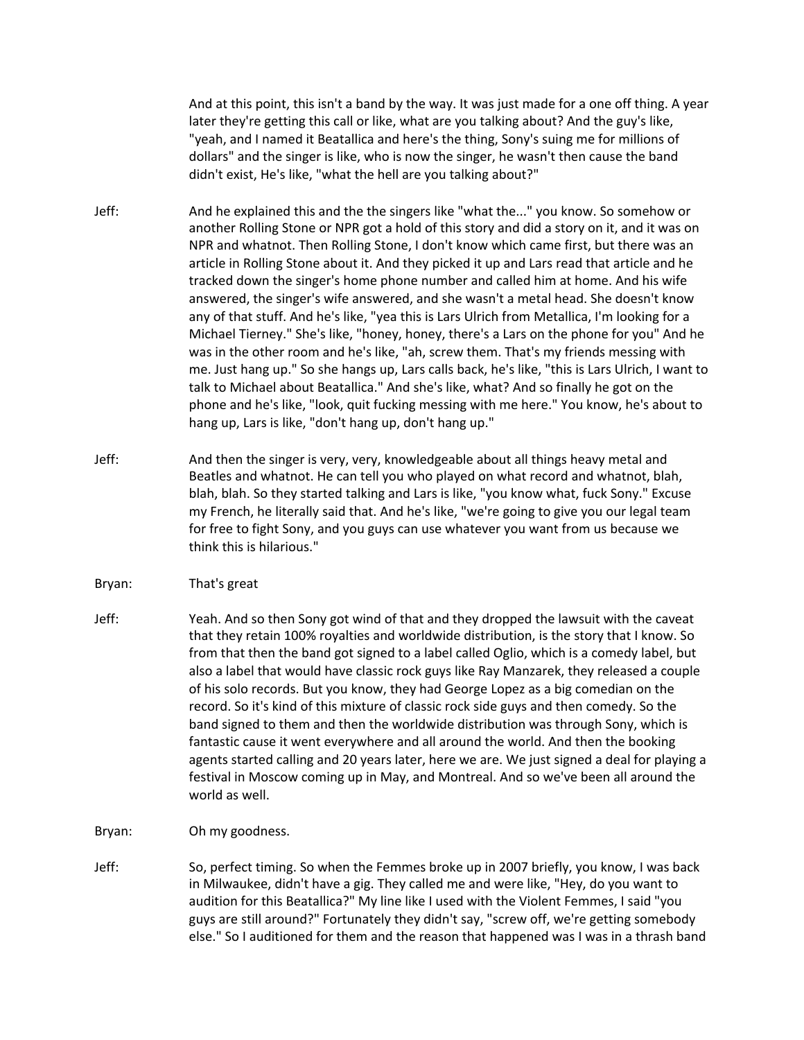And at this point, this isn't a band by the way. It was just made for a one off thing. A year later they're getting this call or like, what are you talking about? And the guy's like, "yeah, and I named it Beatallica and here's the thing, Sony's suing me for millions of dollars" and the singer is like, who is now the singer, he wasn't then cause the band didn't exist, He's like, "what the hell are you talking about?"

- Jeff: And he explained this and the the singers like "what the..." you know. So somehow or another Rolling Stone or NPR got a hold of this story and did a story on it, and it was on NPR and whatnot. Then Rolling Stone, I don't know which came first, but there was an article in Rolling Stone about it. And they picked it up and Lars read that article and he tracked down the singer's home phone number and called him at home. And his wife answered, the singer's wife answered, and she wasn't a metal head. She doesn't know any of that stuff. And he's like, "yea this is Lars Ulrich from Metallica, I'm looking for a Michael Tierney." She's like, "honey, honey, there's a Lars on the phone for you" And he was in the other room and he's like, "ah, screw them. That's my friends messing with me. Just hang up." So she hangs up, Lars calls back, he's like, "this is Lars Ulrich, I want to talk to Michael about Beatallica." And she's like, what? And so finally he got on the phone and he's like, "look, quit fucking messing with me here." You know, he's about to hang up, Lars is like, "don't hang up, don't hang up."
- Jeff: And then the singer is very, very, knowledgeable about all things heavy metal and Beatles and whatnot. He can tell you who played on what record and whatnot, blah, blah, blah. So they started talking and Lars is like, "you know what, fuck Sony." Excuse my French, he literally said that. And he's like, "we're going to give you our legal team for free to fight Sony, and you guys can use whatever you want from us because we think this is hilarious."
- Bryan: That's great
- Jeff: Yeah. And so then Sony got wind of that and they dropped the lawsuit with the caveat that they retain 100% royalties and worldwide distribution, is the story that I know. So from that then the band got signed to a label called Oglio, which is a comedy label, but also a label that would have classic rock guys like Ray Manzarek, they released a couple of his solo records. But you know, they had George Lopez as a big comedian on the record. So it's kind of this mixture of classic rock side guys and then comedy. So the band signed to them and then the worldwide distribution was through Sony, which is fantastic cause it went everywhere and all around the world. And then the booking agents started calling and 20 years later, here we are. We just signed a deal for playing a festival in Moscow coming up in May, and Montreal. And so we've been all around the world as well.
- Bryan: Oh my goodness.
- Jeff: So, perfect timing. So when the Femmes broke up in 2007 briefly, you know, I was back in Milwaukee, didn't have a gig. They called me and were like, "Hey, do you want to audition for this Beatallica?" My line like I used with the Violent Femmes, I said "you guys are still around?" Fortunately they didn't say, "screw off, we're getting somebody else." So I auditioned for them and the reason that happened was I was in a thrash band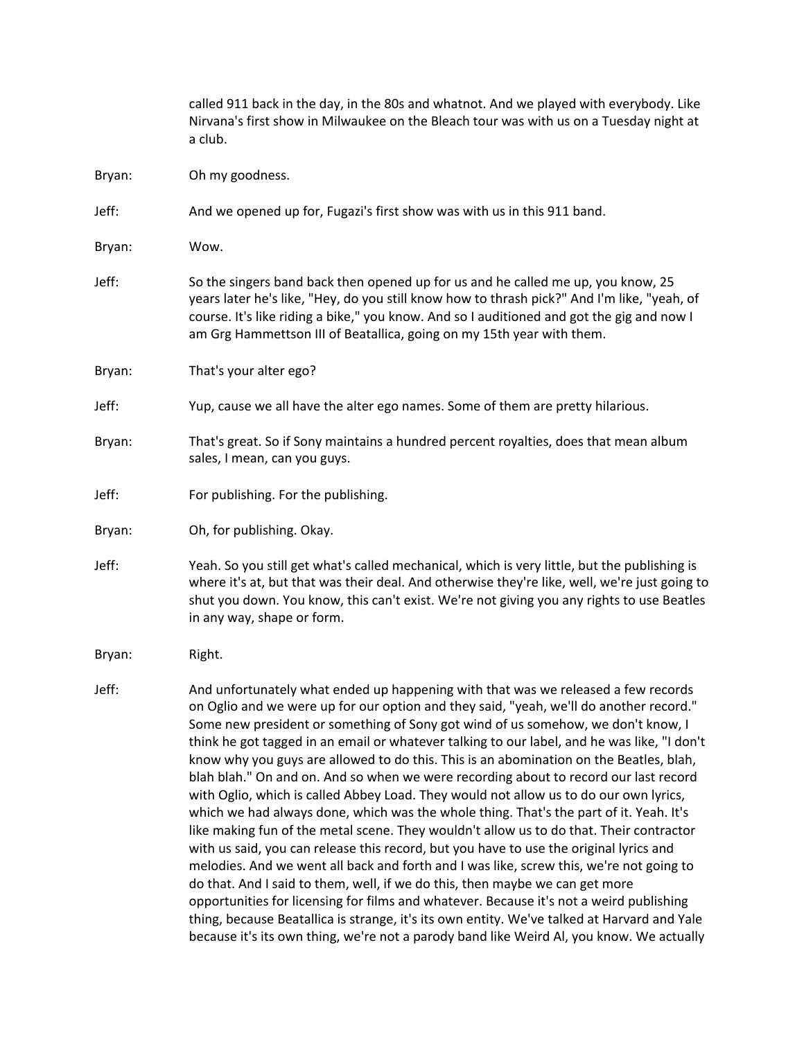|        | called 911 back in the day, in the 80s and whatnot. And we played with everybody. Like<br>Nirvana's first show in Milwaukee on the Bleach tour was with us on a Tuesday night at<br>a club.                                                                                                                                                                                                                                                                                                                                                                                                                                                                                                                                                                                                                                                                                                                                                                                                                                                                                                                                                                                                                                                                                                   |
|--------|-----------------------------------------------------------------------------------------------------------------------------------------------------------------------------------------------------------------------------------------------------------------------------------------------------------------------------------------------------------------------------------------------------------------------------------------------------------------------------------------------------------------------------------------------------------------------------------------------------------------------------------------------------------------------------------------------------------------------------------------------------------------------------------------------------------------------------------------------------------------------------------------------------------------------------------------------------------------------------------------------------------------------------------------------------------------------------------------------------------------------------------------------------------------------------------------------------------------------------------------------------------------------------------------------|
| Bryan: | Oh my goodness.                                                                                                                                                                                                                                                                                                                                                                                                                                                                                                                                                                                                                                                                                                                                                                                                                                                                                                                                                                                                                                                                                                                                                                                                                                                                               |
| Jeff:  | And we opened up for, Fugazi's first show was with us in this 911 band.                                                                                                                                                                                                                                                                                                                                                                                                                                                                                                                                                                                                                                                                                                                                                                                                                                                                                                                                                                                                                                                                                                                                                                                                                       |
| Bryan: | Wow.                                                                                                                                                                                                                                                                                                                                                                                                                                                                                                                                                                                                                                                                                                                                                                                                                                                                                                                                                                                                                                                                                                                                                                                                                                                                                          |
| Jeff:  | So the singers band back then opened up for us and he called me up, you know, 25<br>years later he's like, "Hey, do you still know how to thrash pick?" And I'm like, "yeah, of<br>course. It's like riding a bike," you know. And so I auditioned and got the gig and now I<br>am Grg Hammettson III of Beatallica, going on my 15th year with them.                                                                                                                                                                                                                                                                                                                                                                                                                                                                                                                                                                                                                                                                                                                                                                                                                                                                                                                                         |
| Bryan: | That's your alter ego?                                                                                                                                                                                                                                                                                                                                                                                                                                                                                                                                                                                                                                                                                                                                                                                                                                                                                                                                                                                                                                                                                                                                                                                                                                                                        |
| Jeff:  | Yup, cause we all have the alter ego names. Some of them are pretty hilarious.                                                                                                                                                                                                                                                                                                                                                                                                                                                                                                                                                                                                                                                                                                                                                                                                                                                                                                                                                                                                                                                                                                                                                                                                                |
| Bryan: | That's great. So if Sony maintains a hundred percent royalties, does that mean album<br>sales, I mean, can you guys.                                                                                                                                                                                                                                                                                                                                                                                                                                                                                                                                                                                                                                                                                                                                                                                                                                                                                                                                                                                                                                                                                                                                                                          |
| Jeff:  | For publishing. For the publishing.                                                                                                                                                                                                                                                                                                                                                                                                                                                                                                                                                                                                                                                                                                                                                                                                                                                                                                                                                                                                                                                                                                                                                                                                                                                           |
| Bryan: | Oh, for publishing. Okay.                                                                                                                                                                                                                                                                                                                                                                                                                                                                                                                                                                                                                                                                                                                                                                                                                                                                                                                                                                                                                                                                                                                                                                                                                                                                     |
| Jeff:  | Yeah. So you still get what's called mechanical, which is very little, but the publishing is<br>where it's at, but that was their deal. And otherwise they're like, well, we're just going to<br>shut you down. You know, this can't exist. We're not giving you any rights to use Beatles<br>in any way, shape or form.                                                                                                                                                                                                                                                                                                                                                                                                                                                                                                                                                                                                                                                                                                                                                                                                                                                                                                                                                                      |
| Bryan: | Right.                                                                                                                                                                                                                                                                                                                                                                                                                                                                                                                                                                                                                                                                                                                                                                                                                                                                                                                                                                                                                                                                                                                                                                                                                                                                                        |
| Jeff:  | And unfortunately what ended up happening with that was we released a few records<br>on Oglio and we were up for our option and they said, "yeah, we'll do another record."<br>Some new president or something of Sony got wind of us somehow, we don't know, I<br>think he got tagged in an email or whatever talking to our label, and he was like, "I don't<br>know why you guys are allowed to do this. This is an abomination on the Beatles, blah,<br>blah blah." On and on. And so when we were recording about to record our last record<br>with Oglio, which is called Abbey Load. They would not allow us to do our own lyrics,<br>which we had always done, which was the whole thing. That's the part of it. Yeah. It's<br>like making fun of the metal scene. They wouldn't allow us to do that. Their contractor<br>with us said, you can release this record, but you have to use the original lyrics and<br>melodies. And we went all back and forth and I was like, screw this, we're not going to<br>do that. And I said to them, well, if we do this, then maybe we can get more<br>opportunities for licensing for films and whatever. Because it's not a weird publishing<br>thing, because Beatallica is strange, it's its own entity. We've talked at Harvard and Yale |

because it's its own thing, we're not a parody band like Weird Al, you know. We actually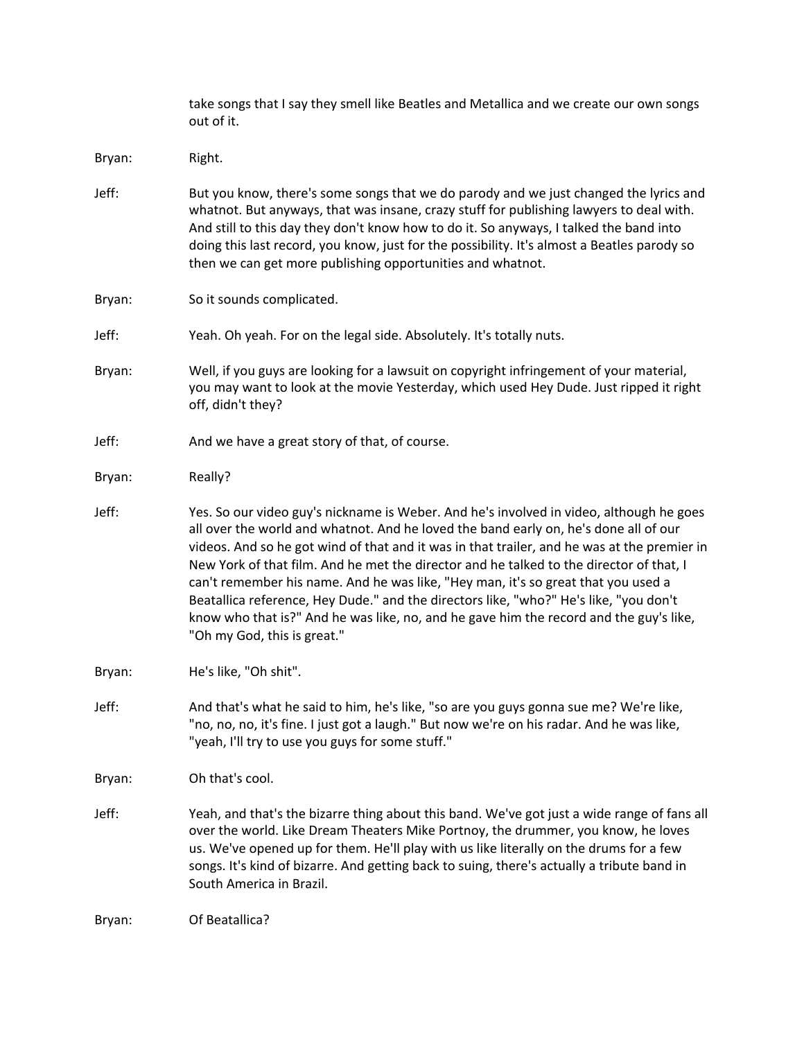|        | take songs that I say they smell like Beatles and Metallica and we create our own songs<br>out of it.                                                                                                                                                                                                                                                                                                                                                                                                                                                                                                                                                                            |
|--------|----------------------------------------------------------------------------------------------------------------------------------------------------------------------------------------------------------------------------------------------------------------------------------------------------------------------------------------------------------------------------------------------------------------------------------------------------------------------------------------------------------------------------------------------------------------------------------------------------------------------------------------------------------------------------------|
| Bryan: | Right.                                                                                                                                                                                                                                                                                                                                                                                                                                                                                                                                                                                                                                                                           |
| Jeff:  | But you know, there's some songs that we do parody and we just changed the lyrics and<br>whatnot. But anyways, that was insane, crazy stuff for publishing lawyers to deal with.<br>And still to this day they don't know how to do it. So anyways, I talked the band into<br>doing this last record, you know, just for the possibility. It's almost a Beatles parody so<br>then we can get more publishing opportunities and whatnot.                                                                                                                                                                                                                                          |
| Bryan: | So it sounds complicated.                                                                                                                                                                                                                                                                                                                                                                                                                                                                                                                                                                                                                                                        |
| Jeff:  | Yeah. Oh yeah. For on the legal side. Absolutely. It's totally nuts.                                                                                                                                                                                                                                                                                                                                                                                                                                                                                                                                                                                                             |
| Bryan: | Well, if you guys are looking for a lawsuit on copyright infringement of your material,<br>you may want to look at the movie Yesterday, which used Hey Dude. Just ripped it right<br>off, didn't they?                                                                                                                                                                                                                                                                                                                                                                                                                                                                           |
| Jeff:  | And we have a great story of that, of course.                                                                                                                                                                                                                                                                                                                                                                                                                                                                                                                                                                                                                                    |
| Bryan: | Really?                                                                                                                                                                                                                                                                                                                                                                                                                                                                                                                                                                                                                                                                          |
| Jeff:  | Yes. So our video guy's nickname is Weber. And he's involved in video, although he goes<br>all over the world and whatnot. And he loved the band early on, he's done all of our<br>videos. And so he got wind of that and it was in that trailer, and he was at the premier in<br>New York of that film. And he met the director and he talked to the director of that, I<br>can't remember his name. And he was like, "Hey man, it's so great that you used a<br>Beatallica reference, Hey Dude." and the directors like, "who?" He's like, "you don't<br>know who that is?" And he was like, no, and he gave him the record and the guy's like,<br>"Oh my God, this is great." |
| Bryan: | He's like, "Oh shit".                                                                                                                                                                                                                                                                                                                                                                                                                                                                                                                                                                                                                                                            |
| Jeff:  | And that's what he said to him, he's like, "so are you guys gonna sue me? We're like,<br>"no, no, no, it's fine. I just got a laugh." But now we're on his radar. And he was like,<br>"yeah, I'll try to use you guys for some stuff."                                                                                                                                                                                                                                                                                                                                                                                                                                           |
| Bryan: | Oh that's cool.                                                                                                                                                                                                                                                                                                                                                                                                                                                                                                                                                                                                                                                                  |
| Jeff:  | Yeah, and that's the bizarre thing about this band. We've got just a wide range of fans all<br>over the world. Like Dream Theaters Mike Portnoy, the drummer, you know, he loves<br>us. We've opened up for them. He'll play with us like literally on the drums for a few<br>songs. It's kind of bizarre. And getting back to suing, there's actually a tribute band in<br>South America in Brazil.                                                                                                                                                                                                                                                                             |
| Bryan: | Of Beatallica?                                                                                                                                                                                                                                                                                                                                                                                                                                                                                                                                                                                                                                                                   |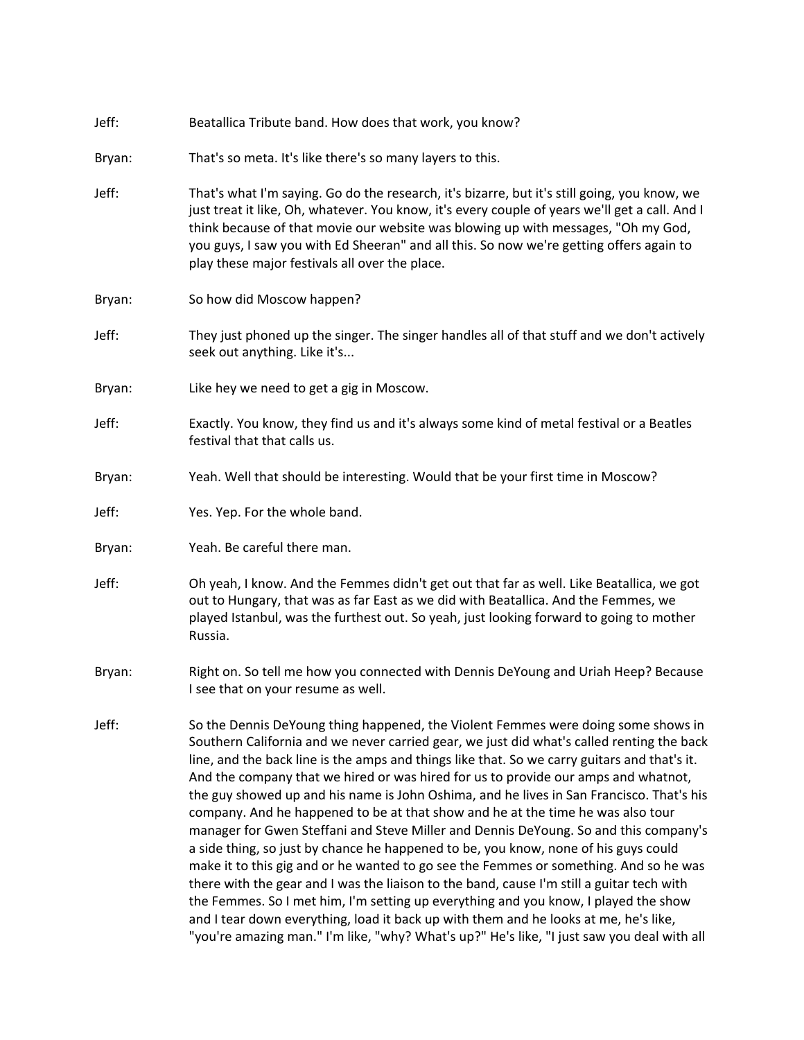| Jeff:  | Beatallica Tribute band. How does that work, you know?                                                                                                                                                                                                                                                                                                                                                                                                                                                                                                                                                                                                                                                                                                                                                                                                                                                                                                                                                                                                                                                                                                                                                |
|--------|-------------------------------------------------------------------------------------------------------------------------------------------------------------------------------------------------------------------------------------------------------------------------------------------------------------------------------------------------------------------------------------------------------------------------------------------------------------------------------------------------------------------------------------------------------------------------------------------------------------------------------------------------------------------------------------------------------------------------------------------------------------------------------------------------------------------------------------------------------------------------------------------------------------------------------------------------------------------------------------------------------------------------------------------------------------------------------------------------------------------------------------------------------------------------------------------------------|
| Bryan: | That's so meta. It's like there's so many layers to this.                                                                                                                                                                                                                                                                                                                                                                                                                                                                                                                                                                                                                                                                                                                                                                                                                                                                                                                                                                                                                                                                                                                                             |
| Jeff:  | That's what I'm saying. Go do the research, it's bizarre, but it's still going, you know, we<br>just treat it like, Oh, whatever. You know, it's every couple of years we'll get a call. And I<br>think because of that movie our website was blowing up with messages, "Oh my God,<br>you guys, I saw you with Ed Sheeran" and all this. So now we're getting offers again to<br>play these major festivals all over the place.                                                                                                                                                                                                                                                                                                                                                                                                                                                                                                                                                                                                                                                                                                                                                                      |
| Bryan: | So how did Moscow happen?                                                                                                                                                                                                                                                                                                                                                                                                                                                                                                                                                                                                                                                                                                                                                                                                                                                                                                                                                                                                                                                                                                                                                                             |
| Jeff:  | They just phoned up the singer. The singer handles all of that stuff and we don't actively<br>seek out anything. Like it's                                                                                                                                                                                                                                                                                                                                                                                                                                                                                                                                                                                                                                                                                                                                                                                                                                                                                                                                                                                                                                                                            |
| Bryan: | Like hey we need to get a gig in Moscow.                                                                                                                                                                                                                                                                                                                                                                                                                                                                                                                                                                                                                                                                                                                                                                                                                                                                                                                                                                                                                                                                                                                                                              |
| Jeff:  | Exactly. You know, they find us and it's always some kind of metal festival or a Beatles<br>festival that that calls us.                                                                                                                                                                                                                                                                                                                                                                                                                                                                                                                                                                                                                                                                                                                                                                                                                                                                                                                                                                                                                                                                              |
| Bryan: | Yeah. Well that should be interesting. Would that be your first time in Moscow?                                                                                                                                                                                                                                                                                                                                                                                                                                                                                                                                                                                                                                                                                                                                                                                                                                                                                                                                                                                                                                                                                                                       |
| Jeff:  | Yes. Yep. For the whole band.                                                                                                                                                                                                                                                                                                                                                                                                                                                                                                                                                                                                                                                                                                                                                                                                                                                                                                                                                                                                                                                                                                                                                                         |
| Bryan: | Yeah. Be careful there man.                                                                                                                                                                                                                                                                                                                                                                                                                                                                                                                                                                                                                                                                                                                                                                                                                                                                                                                                                                                                                                                                                                                                                                           |
| Jeff:  | Oh yeah, I know. And the Femmes didn't get out that far as well. Like Beatallica, we got<br>out to Hungary, that was as far East as we did with Beatallica. And the Femmes, we<br>played Istanbul, was the furthest out. So yeah, just looking forward to going to mother<br>Russia.                                                                                                                                                                                                                                                                                                                                                                                                                                                                                                                                                                                                                                                                                                                                                                                                                                                                                                                  |
| Bryan: | Right on. So tell me how you connected with Dennis DeYoung and Uriah Heep? Because<br>I see that on your resume as well.                                                                                                                                                                                                                                                                                                                                                                                                                                                                                                                                                                                                                                                                                                                                                                                                                                                                                                                                                                                                                                                                              |
| Jeff:  | So the Dennis DeYoung thing happened, the Violent Femmes were doing some shows in<br>Southern California and we never carried gear, we just did what's called renting the back<br>line, and the back line is the amps and things like that. So we carry guitars and that's it.<br>And the company that we hired or was hired for us to provide our amps and whatnot,<br>the guy showed up and his name is John Oshima, and he lives in San Francisco. That's his<br>company. And he happened to be at that show and he at the time he was also tour<br>manager for Gwen Steffani and Steve Miller and Dennis DeYoung. So and this company's<br>a side thing, so just by chance he happened to be, you know, none of his guys could<br>make it to this gig and or he wanted to go see the Femmes or something. And so he was<br>there with the gear and I was the liaison to the band, cause I'm still a guitar tech with<br>the Femmes. So I met him, I'm setting up everything and you know, I played the show<br>and I tear down everything, load it back up with them and he looks at me, he's like,<br>"you're amazing man." I'm like, "why? What's up?" He's like, "I just saw you deal with all |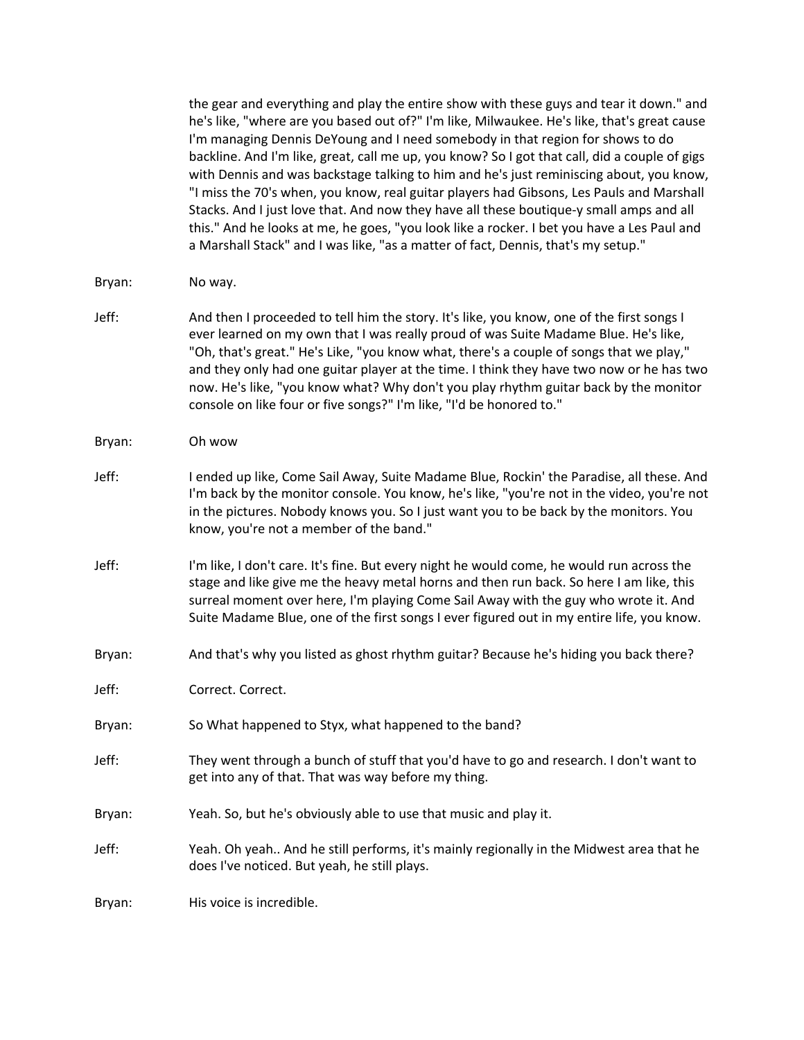the gear and everything and play the entire show with these guys and tear it down." and he's like, "where are you based out of?" I'm like, Milwaukee. He's like, that's great cause I'm managing Dennis DeYoung and I need somebody in that region for shows to do backline. And I'm like, great, call me up, you know? So I got that call, did a couple of gigs with Dennis and was backstage talking to him and he's just reminiscing about, you know, "I miss the 70's when, you know, real guitar players had Gibsons, Les Pauls and Marshall Stacks. And I just love that. And now they have all these boutique-y small amps and all this." And he looks at me, he goes, "you look like a rocker. I bet you have a Les Paul and a Marshall Stack" and I was like, "as a matter of fact, Dennis, that's my setup."

#### Bryan: No way.

Jeff: And then I proceeded to tell him the story. It's like, you know, one of the first songs I ever learned on my own that I was really proud of was Suite Madame Blue. He's like, "Oh, that's great." He's Like, "you know what, there's a couple of songs that we play," and they only had one guitar player at the time. I think they have two now or he has two now. He's like, "you know what? Why don't you play rhythm guitar back by the monitor console on like four or five songs?" I'm like, "I'd be honored to."

#### Bryan: Oh wow

- Jeff: I ended up like, Come Sail Away, Suite Madame Blue, Rockin' the Paradise, all these. And I'm back by the monitor console. You know, he's like, "you're not in the video, you're not in the pictures. Nobody knows you. So I just want you to be back by the monitors. You know, you're not a member of the band."
- Jeff: I'm like, I don't care. It's fine. But every night he would come, he would run across the stage and like give me the heavy metal horns and then run back. So here I am like, this surreal moment over here, I'm playing Come Sail Away with the guy who wrote it. And Suite Madame Blue, one of the first songs I ever figured out in my entire life, you know.
- Bryan: And that's why you listed as ghost rhythm guitar? Because he's hiding you back there?

| Correct. Correct. |
|-------------------|
|                   |

- Bryan: So What happened to Styx, what happened to the band?
- Jeff: They went through a bunch of stuff that you'd have to go and research. I don't want to get into any of that. That was way before my thing.
- Bryan: Yeah. So, but he's obviously able to use that music and play it.
- Jeff: Yeah. Oh yeah.. And he still performs, it's mainly regionally in the Midwest area that he does I've noticed. But yeah, he still plays.

Bryan: His voice is incredible.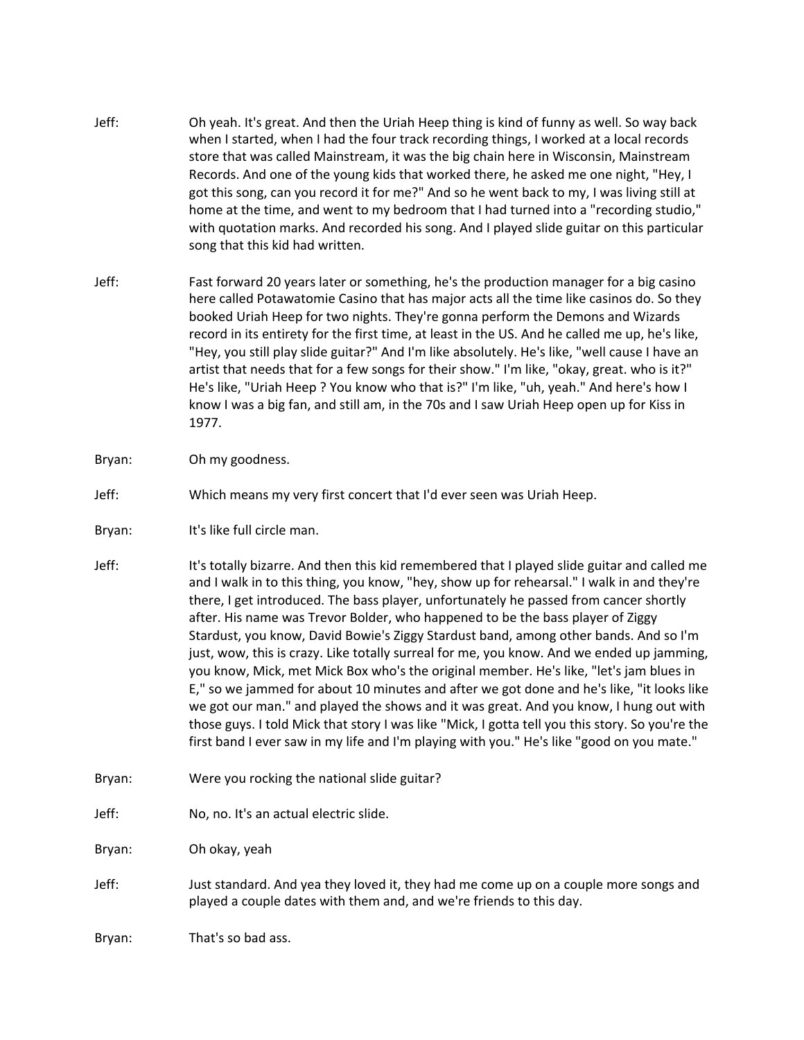- Jeff: Oh yeah. It's great. And then the Uriah Heep thing is kind of funny as well. So way back when I started, when I had the four track recording things, I worked at a local records store that was called Mainstream, it was the big chain here in Wisconsin, Mainstream Records. And one of the young kids that worked there, he asked me one night, "Hey, I got this song, can you record it for me?" And so he went back to my, I was living still at home at the time, and went to my bedroom that I had turned into a "recording studio," with quotation marks. And recorded his song. And I played slide guitar on this particular song that this kid had written.
- Jeff: Fast forward 20 years later or something, he's the production manager for a big casino here called Potawatomie Casino that has major acts all the time like casinos do. So they booked Uriah Heep for two nights. They're gonna perform the Demons and Wizards record in its entirety for the first time, at least in the US. And he called me up, he's like, "Hey, you still play slide guitar?" And I'm like absolutely. He's like, "well cause I have an artist that needs that for a few songs for their show." I'm like, "okay, great. who is it?" He's like, "Uriah Heep ? You know who that is?" I'm like, "uh, yeah." And here's how I know I was a big fan, and still am, in the 70s and I saw Uriah Heep open up for Kiss in 1977.
- Bryan: Oh my goodness.
- Jeff: Which means my very first concert that I'd ever seen was Uriah Heep.
- Bryan: It's like full circle man.
- Jeff: It's totally bizarre. And then this kid remembered that I played slide guitar and called me and I walk in to this thing, you know, "hey, show up for rehearsal." I walk in and they're there, I get introduced. The bass player, unfortunately he passed from cancer shortly after. His name was Trevor Bolder, who happened to be the bass player of Ziggy Stardust, you know, David Bowie's Ziggy Stardust band, among other bands. And so I'm just, wow, this is crazy. Like totally surreal for me, you know. And we ended up jamming, you know, Mick, met Mick Box who's the original member. He's like, "let's jam blues in E," so we jammed for about 10 minutes and after we got done and he's like, "it looks like we got our man." and played the shows and it was great. And you know, I hung out with those guys. I told Mick that story I was like "Mick, I gotta tell you this story. So you're the first band I ever saw in my life and I'm playing with you." He's like "good on you mate."
- Bryan: Were you rocking the national slide guitar?
- Jeff: No, no. It's an actual electric slide.

Bryan: Oh okay, yeah

Jeff: Just standard. And yea they loved it, they had me come up on a couple more songs and played a couple dates with them and, and we're friends to this day.

Bryan: That's so bad ass.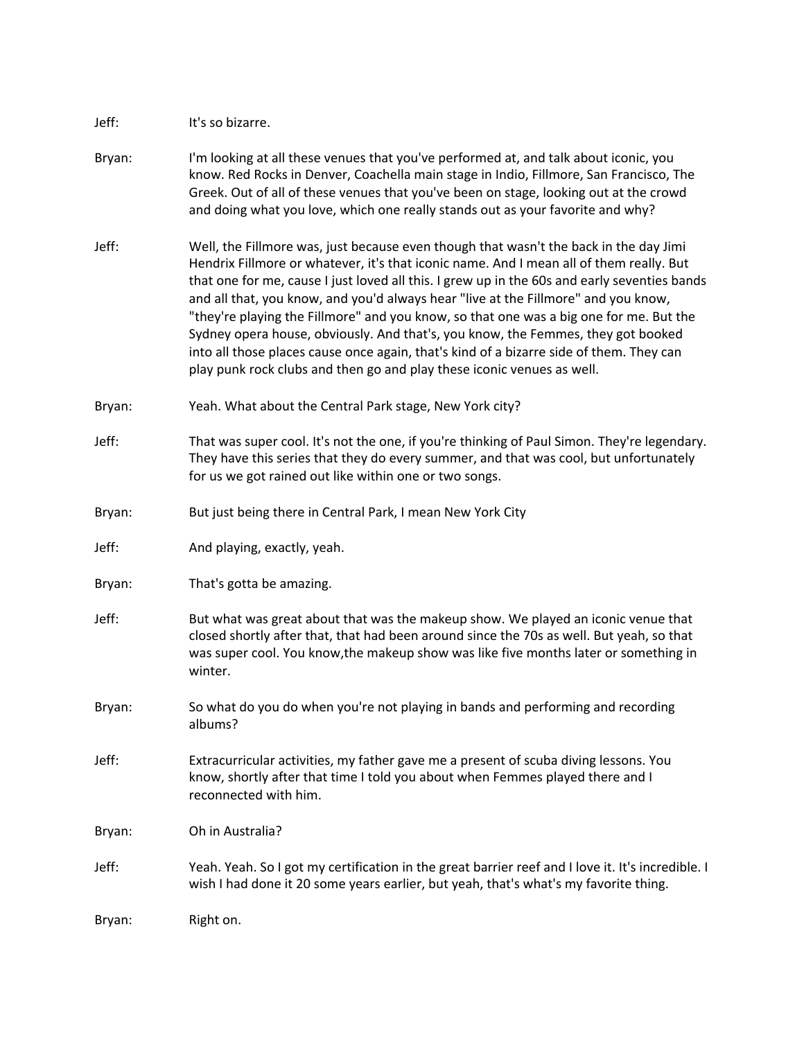### Jeff: It's so bizarre.

- Bryan: I'm looking at all these venues that you've performed at, and talk about iconic, you know. Red Rocks in Denver, Coachella main stage in Indio, Fillmore, San Francisco, The Greek. Out of all of these venues that you've been on stage, looking out at the crowd and doing what you love, which one really stands out as your favorite and why?
- Jeff: Well, the Fillmore was, just because even though that wasn't the back in the day Jimi Hendrix Fillmore or whatever, it's that iconic name. And I mean all of them really. But that one for me, cause I just loved all this. I grew up in the 60s and early seventies bands and all that, you know, and you'd always hear "live at the Fillmore" and you know, "they're playing the Fillmore" and you know, so that one was a big one for me. But the Sydney opera house, obviously. And that's, you know, the Femmes, they got booked into all those places cause once again, that's kind of a bizarre side of them. They can play punk rock clubs and then go and play these iconic venues as well.
- Bryan: Yeah. What about the Central Park stage, New York city?
- Jeff: That was super cool. It's not the one, if you're thinking of Paul Simon. They're legendary. They have this series that they do every summer, and that was cool, but unfortunately for us we got rained out like within one or two songs.
- Bryan: But just being there in Central Park, I mean New York City
- Jeff: And playing, exactly, yeah.
- Bryan: That's gotta be amazing.
- Jeff: But what was great about that was the makeup show. We played an iconic venue that closed shortly after that, that had been around since the 70s as well. But yeah, so that was super cool. You know,the makeup show was like five months later or something in winter.
- Bryan: So what do you do when you're not playing in bands and performing and recording albums?
- Jeff: Extracurricular activities, my father gave me a present of scuba diving lessons. You know, shortly after that time I told you about when Femmes played there and I reconnected with him.
- Bryan: Oh in Australia?
- Jeff: Yeah. Yeah. So I got my certification in the great barrier reef and I love it. It's incredible. I wish I had done it 20 some years earlier, but yeah, that's what's my favorite thing.

Bryan: Right on.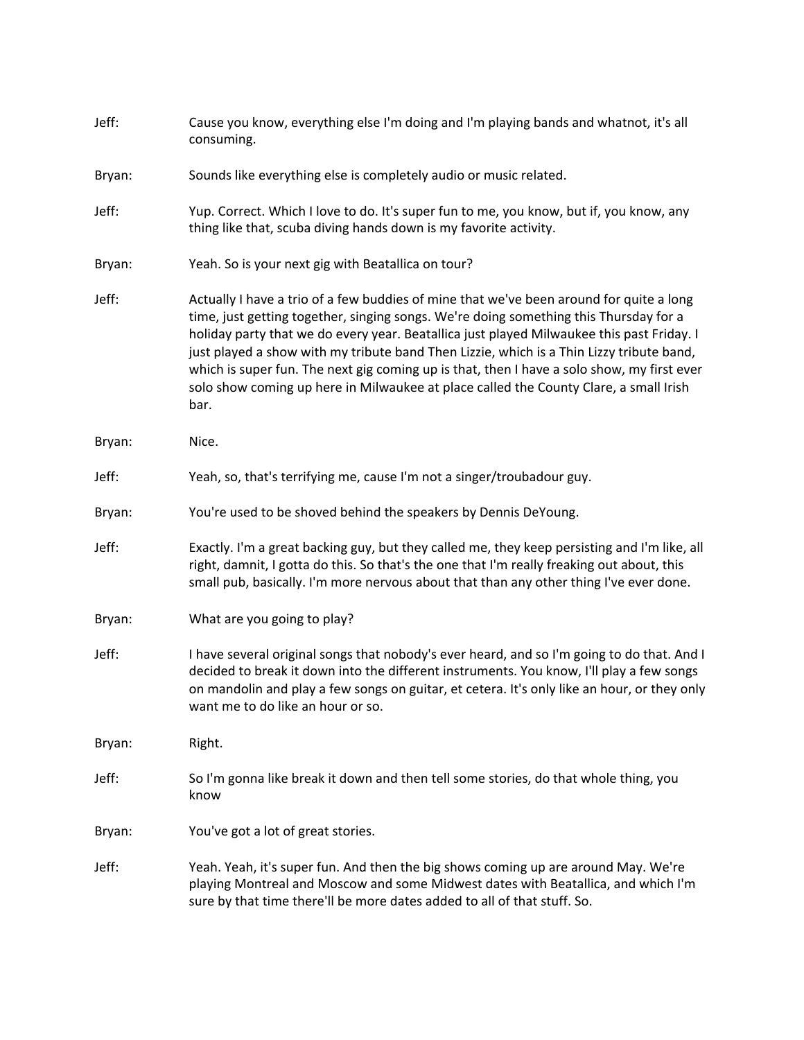| Jeff:  | Cause you know, everything else I'm doing and I'm playing bands and whatnot, it's all<br>consuming.                                                                                                                                                                                                                                                                                                                                                                                                                                                                      |
|--------|--------------------------------------------------------------------------------------------------------------------------------------------------------------------------------------------------------------------------------------------------------------------------------------------------------------------------------------------------------------------------------------------------------------------------------------------------------------------------------------------------------------------------------------------------------------------------|
| Bryan: | Sounds like everything else is completely audio or music related.                                                                                                                                                                                                                                                                                                                                                                                                                                                                                                        |
| Jeff:  | Yup. Correct. Which I love to do. It's super fun to me, you know, but if, you know, any<br>thing like that, scuba diving hands down is my favorite activity.                                                                                                                                                                                                                                                                                                                                                                                                             |
| Bryan: | Yeah. So is your next gig with Beatallica on tour?                                                                                                                                                                                                                                                                                                                                                                                                                                                                                                                       |
| Jeff:  | Actually I have a trio of a few buddies of mine that we've been around for quite a long<br>time, just getting together, singing songs. We're doing something this Thursday for a<br>holiday party that we do every year. Beatallica just played Milwaukee this past Friday. I<br>just played a show with my tribute band Then Lizzie, which is a Thin Lizzy tribute band,<br>which is super fun. The next gig coming up is that, then I have a solo show, my first ever<br>solo show coming up here in Milwaukee at place called the County Clare, a small Irish<br>bar. |
| Bryan: | Nice.                                                                                                                                                                                                                                                                                                                                                                                                                                                                                                                                                                    |
| Jeff:  | Yeah, so, that's terrifying me, cause I'm not a singer/troubadour guy.                                                                                                                                                                                                                                                                                                                                                                                                                                                                                                   |
| Bryan: | You're used to be shoved behind the speakers by Dennis DeYoung.                                                                                                                                                                                                                                                                                                                                                                                                                                                                                                          |
| Jeff:  | Exactly. I'm a great backing guy, but they called me, they keep persisting and I'm like, all<br>right, damnit, I gotta do this. So that's the one that I'm really freaking out about, this<br>small pub, basically. I'm more nervous about that than any other thing I've ever done.                                                                                                                                                                                                                                                                                     |
| Bryan: | What are you going to play?                                                                                                                                                                                                                                                                                                                                                                                                                                                                                                                                              |
| Jeff:  | I have several original songs that nobody's ever heard, and so I'm going to do that. And I<br>decided to break it down into the different instruments. You know, I'll play a few songs<br>on mandolin and play a few songs on guitar, et cetera. It's only like an hour, or they only<br>want me to do like an hour or so.                                                                                                                                                                                                                                               |
| Bryan: | Right.                                                                                                                                                                                                                                                                                                                                                                                                                                                                                                                                                                   |
| Jeff:  | So I'm gonna like break it down and then tell some stories, do that whole thing, you<br>know                                                                                                                                                                                                                                                                                                                                                                                                                                                                             |
| Bryan: | You've got a lot of great stories.                                                                                                                                                                                                                                                                                                                                                                                                                                                                                                                                       |
| Jeff:  | Yeah. Yeah, it's super fun. And then the big shows coming up are around May. We're<br>playing Montreal and Moscow and some Midwest dates with Beatallica, and which I'm<br>sure by that time there'll be more dates added to all of that stuff. So.                                                                                                                                                                                                                                                                                                                      |